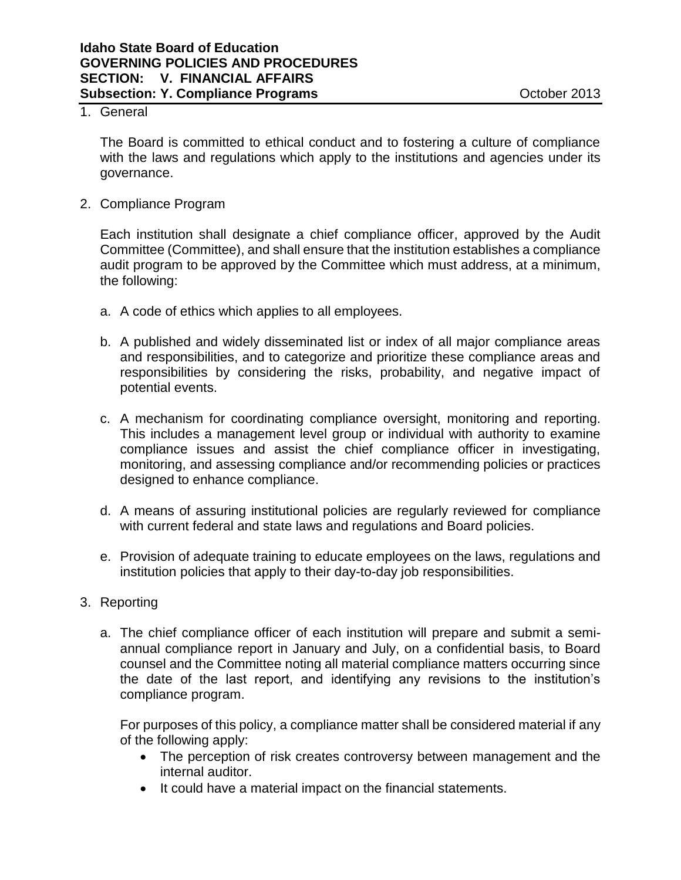## 1. General

The Board is committed to ethical conduct and to fostering a culture of compliance with the laws and regulations which apply to the institutions and agencies under its governance.

2. Compliance Program

Each institution shall designate a chief compliance officer, approved by the Audit Committee (Committee), and shall ensure that the institution establishes a compliance audit program to be approved by the Committee which must address, at a minimum, the following:

- a. A code of ethics which applies to all employees.
- b. A published and widely disseminated list or index of all major compliance areas and responsibilities, and to categorize and prioritize these compliance areas and responsibilities by considering the risks, probability, and negative impact of potential events.
- c. A mechanism for coordinating compliance oversight, monitoring and reporting. This includes a management level group or individual with authority to examine compliance issues and assist the chief compliance officer in investigating, monitoring, and assessing compliance and/or recommending policies or practices designed to enhance compliance.
- d. A means of assuring institutional policies are regularly reviewed for compliance with current federal and state laws and regulations and Board policies.
- e. Provision of adequate training to educate employees on the laws, regulations and institution policies that apply to their day-to-day job responsibilities.
- 3. Reporting
	- a. The chief compliance officer of each institution will prepare and submit a semiannual compliance report in January and July, on a confidential basis, to Board counsel and the Committee noting all material compliance matters occurring since the date of the last report, and identifying any revisions to the institution's compliance program.

For purposes of this policy, a compliance matter shall be considered material if any of the following apply:

- The perception of risk creates controversy between management and the internal auditor.
- It could have a material impact on the financial statements.